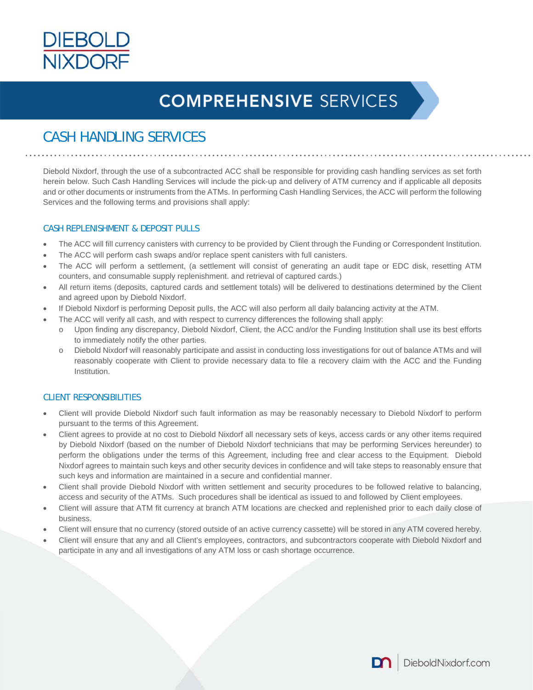

### CASH HANDLING SERVICES

Diebold Nixdorf, through the use of a subcontracted ACC shall be responsible for providing cash handling services as set forth herein below. Such Cash Handling Services will include the pick-up and delivery of ATM currency and if applicable all deposits and or other documents or instruments from the ATMs. In performing Cash Handling Services, the ACC will perform the following Services and the following terms and provisions shall apply:

#### CASH REPLENISHMENT & DEPOSIT PULLS

- The ACC will fill currency canisters with currency to be provided by Client through the Funding or Correspondent Institution.
- The ACC will perform cash swaps and/or replace spent canisters with full canisters.
- The ACC will perform a settlement, (a settlement will consist of generating an audit tape or EDC disk, resetting ATM counters, and consumable supply replenishment. and retrieval of captured cards.)
- All return items (deposits, captured cards and settlement totals) will be delivered to destinations determined by the Client and agreed upon by Diebold Nixdorf.
- If Diebold Nixdorf is performing Deposit pulls, the ACC will also perform all daily balancing activity at the ATM.
- The ACC will verify all cash, and with respect to currency differences the following shall apply:
	- o Upon finding any discrepancy, Diebold Nixdorf, Client, the ACC and/or the Funding Institution shall use its best efforts to immediately notify the other parties.
	- o Diebold Nixdorf will reasonably participate and assist in conducting loss investigations for out of balance ATMs and will reasonably cooperate with Client to provide necessary data to file a recovery claim with the ACC and the Funding Institution.

#### CLIENT RESPONSIBILITIES

- Client will provide Diebold Nixdorf such fault information as may be reasonably necessary to Diebold Nixdorf to perform pursuant to the terms of this Agreement.
- Client agrees to provide at no cost to Diebold Nixdorf all necessary sets of keys, access cards or any other items required by Diebold Nixdorf (based on the number of Diebold Nixdorf technicians that may be performing Services hereunder) to perform the obligations under the terms of this Agreement, including free and clear access to the Equipment. Diebold Nixdorf agrees to maintain such keys and other security devices in confidence and will take steps to reasonably ensure that such keys and information are maintained in a secure and confidential manner.
- Client shall provide Diebold Nixdorf with written settlement and security procedures to be followed relative to balancing, access and security of the ATMs. Such procedures shall be identical as issued to and followed by Client employees.
- Client will assure that ATM fit currency at branch ATM locations are checked and replenished prior to each daily close of business.
- Client will ensure that no currency (stored outside of an active currency cassette) will be stored in any ATM covered hereby.
- Client will ensure that any and all Client's employees, contractors, and subcontractors cooperate with Diebold Nixdorf and participate in any and all investigations of any ATM loss or cash shortage occurrence.

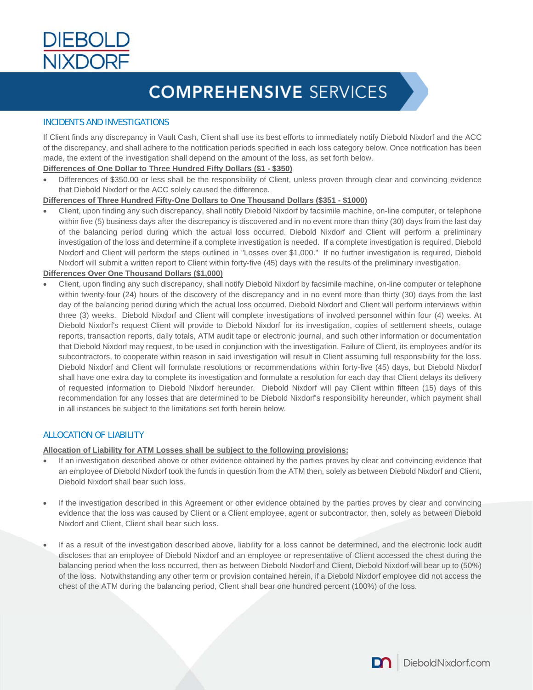

#### INCIDENTS AND INVESTIGATIONS

If Client finds any discrepancy in Vault Cash, Client shall use its best efforts to immediately notify Diebold Nixdorf and the ACC of the discrepancy, and shall adhere to the notification periods specified in each loss category below. Once notification has been made, the extent of the investigation shall depend on the amount of the loss, as set forth below.

#### **Differences of One Dollar to Three Hundred Fifty Dollars (\$1 - \$350)**

 Differences of \$350.00 or less shall be the responsibility of Client, unless proven through clear and convincing evidence that Diebold Nixdorf or the ACC solely caused the difference.

#### **Differences of Three Hundred Fifty-One Dollars to One Thousand Dollars (\$351 - \$1000)**

 Client, upon finding any such discrepancy, shall notify Diebold Nixdorf by facsimile machine, on-line computer, or telephone within five (5) business days after the discrepancy is discovered and in no event more than thirty (30) days from the last day of the balancing period during which the actual loss occurred. Diebold Nixdorf and Client will perform a preliminary investigation of the loss and determine if a complete investigation is needed. If a complete investigation is required, Diebold Nixdorf and Client will perform the steps outlined in "Losses over \$1,000." If no further investigation is required, Diebold Nixdorf will submit a written report to Client within forty-five (45) days with the results of the preliminary investigation.

#### **Differences Over One Thousand Dollars (\$1,000)**

 Client, upon finding any such discrepancy, shall notify Diebold Nixdorf by facsimile machine, on-line computer or telephone within twenty-four (24) hours of the discovery of the discrepancy and in no event more than thirty (30) days from the last day of the balancing period during which the actual loss occurred. Diebold Nixdorf and Client will perform interviews within three (3) weeks. Diebold Nixdorf and Client will complete investigations of involved personnel within four (4) weeks. At Diebold Nixdorf's request Client will provide to Diebold Nixdorf for its investigation, copies of settlement sheets, outage reports, transaction reports, daily totals, ATM audit tape or electronic journal, and such other information or documentation that Diebold Nixdorf may request, to be used in conjunction with the investigation. Failure of Client, its employees and/or its subcontractors, to cooperate within reason in said investigation will result in Client assuming full responsibility for the loss. Diebold Nixdorf and Client will formulate resolutions or recommendations within forty-five (45) days, but Diebold Nixdorf shall have one extra day to complete its investigation and formulate a resolution for each day that Client delays its delivery of requested information to Diebold Nixdorf hereunder. Diebold Nixdorf will pay Client within fifteen (15) days of this recommendation for any losses that are determined to be Diebold Nixdorf's responsibility hereunder, which payment shall in all instances be subject to the limitations set forth herein below.

#### ALLOCATION OF LIABILITY

#### **Allocation of Liability for ATM Losses shall be subject to the following provisions:**

- If an investigation described above or other evidence obtained by the parties proves by clear and convincing evidence that an employee of Diebold Nixdorf took the funds in question from the ATM then, solely as between Diebold Nixdorf and Client, Diebold Nixdorf shall bear such loss.
- If the investigation described in this Agreement or other evidence obtained by the parties proves by clear and convincing evidence that the loss was caused by Client or a Client employee, agent or subcontractor, then, solely as between Diebold Nixdorf and Client, Client shall bear such loss.
- If as a result of the investigation described above, liability for a loss cannot be determined, and the electronic lock audit discloses that an employee of Diebold Nixdorf and an employee or representative of Client accessed the chest during the balancing period when the loss occurred, then as between Diebold Nixdorf and Client, Diebold Nixdorf will bear up to (50%) of the loss. Notwithstanding any other term or provision contained herein, if a Diebold Nixdorf employee did not access the chest of the ATM during the balancing period, Client shall bear one hundred percent (100%) of the loss.

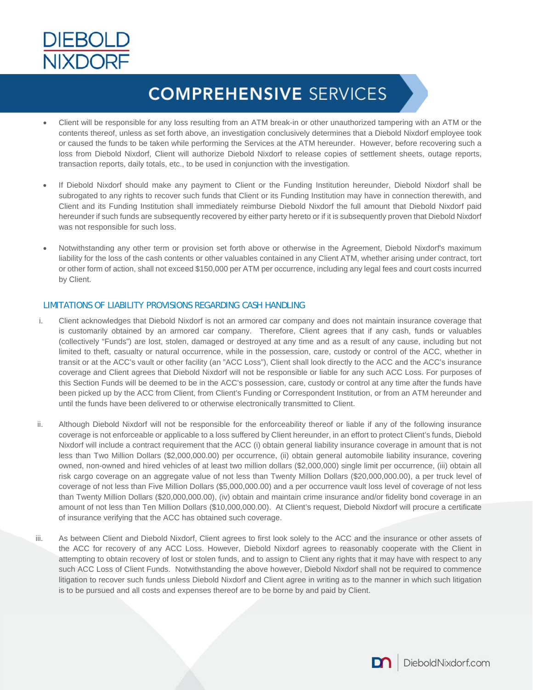

- Client will be responsible for any loss resulting from an ATM break-in or other unauthorized tampering with an ATM or the contents thereof, unless as set forth above, an investigation conclusively determines that a Diebold Nixdorf employee took or caused the funds to be taken while performing the Services at the ATM hereunder. However, before recovering such a loss from Diebold Nixdorf, Client will authorize Diebold Nixdorf to release copies of settlement sheets, outage reports, transaction reports, daily totals, etc., to be used in conjunction with the investigation.
- If Diebold Nixdorf should make any payment to Client or the Funding Institution hereunder, Diebold Nixdorf shall be subrogated to any rights to recover such funds that Client or its Funding Institution may have in connection therewith, and Client and its Funding Institution shall immediately reimburse Diebold Nixdorf the full amount that Diebold Nixdorf paid hereunder if such funds are subsequently recovered by either party hereto or if it is subsequently proven that Diebold Nixdorf was not responsible for such loss.
- Notwithstanding any other term or provision set forth above or otherwise in the Agreement, Diebold Nixdorf's maximum liability for the loss of the cash contents or other valuables contained in any Client ATM, whether arising under contract, tort or other form of action, shall not exceed \$150,000 per ATM per occurrence, including any legal fees and court costs incurred by Client.

#### LIMITATIONS OF LIABILITY PROVISIONS REGARDING CASH HANDLING

- i. Client acknowledges that Diebold Nixdorf is not an armored car company and does not maintain insurance coverage that is customarily obtained by an armored car company. Therefore, Client agrees that if any cash, funds or valuables (collectively "Funds") are lost, stolen, damaged or destroyed at any time and as a result of any cause, including but not limited to theft, casualty or natural occurrence, while in the possession, care, custody or control of the ACC, whether in transit or at the ACC's vault or other facility (an "ACC Loss"), Client shall look directly to the ACC and the ACC's insurance coverage and Client agrees that Diebold Nixdorf will not be responsible or liable for any such ACC Loss. For purposes of this Section Funds will be deemed to be in the ACC's possession, care, custody or control at any time after the funds have been picked up by the ACC from Client, from Client's Funding or Correspondent Institution, or from an ATM hereunder and until the funds have been delivered to or otherwise electronically transmitted to Client.
- ii. Although Diebold Nixdorf will not be responsible for the enforceability thereof or liable if any of the following insurance coverage is not enforceable or applicable to a loss suffered by Client hereunder, in an effort to protect Client's funds, Diebold Nixdorf will include a contract requirement that the ACC (i) obtain general liability insurance coverage in amount that is not less than Two Million Dollars (\$2,000,000.00) per occurrence, (ii) obtain general automobile liability insurance, covering owned, non-owned and hired vehicles of at least two million dollars (\$2,000,000) single limit per occurrence, (iii) obtain all risk cargo coverage on an aggregate value of not less than Twenty Million Dollars (\$20,000,000.00), a per truck level of coverage of not less than Five Million Dollars (\$5,000,000.00) and a per occurrence vault loss level of coverage of not less than Twenty Million Dollars (\$20,000,000.00), (iv) obtain and maintain crime insurance and/or fidelity bond coverage in an amount of not less than Ten Million Dollars (\$10,000,000.00). At Client's request, Diebold Nixdorf will procure a certificate of insurance verifying that the ACC has obtained such coverage.
- iii. As between Client and Diebold Nixdorf, Client agrees to first look solely to the ACC and the insurance or other assets of the ACC for recovery of any ACC Loss. However, Diebold Nixdorf agrees to reasonably cooperate with the Client in attempting to obtain recovery of lost or stolen funds, and to assign to Client any rights that it may have with respect to any such ACC Loss of Client Funds. Notwithstanding the above however, Diebold Nixdorf shall not be required to commence litigation to recover such funds unless Diebold Nixdorf and Client agree in writing as to the manner in which such litigation is to be pursued and all costs and expenses thereof are to be borne by and paid by Client.